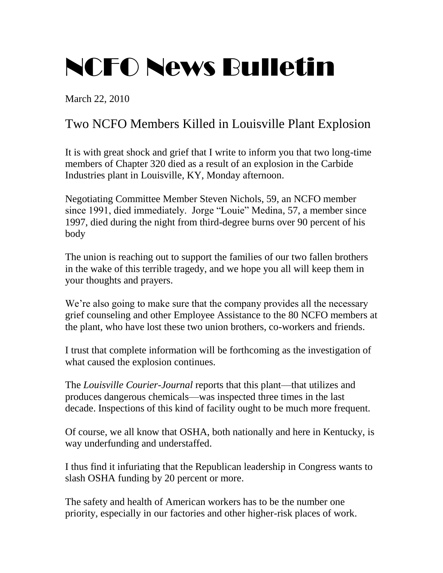## NCFO News Bulletin

March 22, 2010

## Two NCFO Members Killed in Louisville Plant Explosion

It is with great shock and grief that I write to inform you that two long-time members of Chapter 320 died as a result of an explosion in the Carbide Industries plant in Louisville, KY, Monday afternoon.

Negotiating Committee Member Steven Nichols, 59, an NCFO member since 1991, died immediately. Jorge "Louie" Medina, 57, a member since 1997, died during the night from third-degree burns over 90 percent of his body

The union is reaching out to support the families of our two fallen brothers in the wake of this terrible tragedy, and we hope you all will keep them in your thoughts and prayers.

We're also going to make sure that the company provides all the necessary grief counseling and other Employee Assistance to the 80 NCFO members at the plant, who have lost these two union brothers, co-workers and friends.

I trust that complete information will be forthcoming as the investigation of what caused the explosion continues.

The *Louisville Courier-Journal* reports that this plant—that utilizes and produces dangerous chemicals—was inspected three times in the last decade. Inspections of this kind of facility ought to be much more frequent.

Of course, we all know that OSHA, both nationally and here in Kentucky, is way underfunding and understaffed.

I thus find it infuriating that the Republican leadership in Congress wants to slash OSHA funding by 20 percent or more.

The safety and health of American workers has to be the number one priority, especially in our factories and other higher-risk places of work.